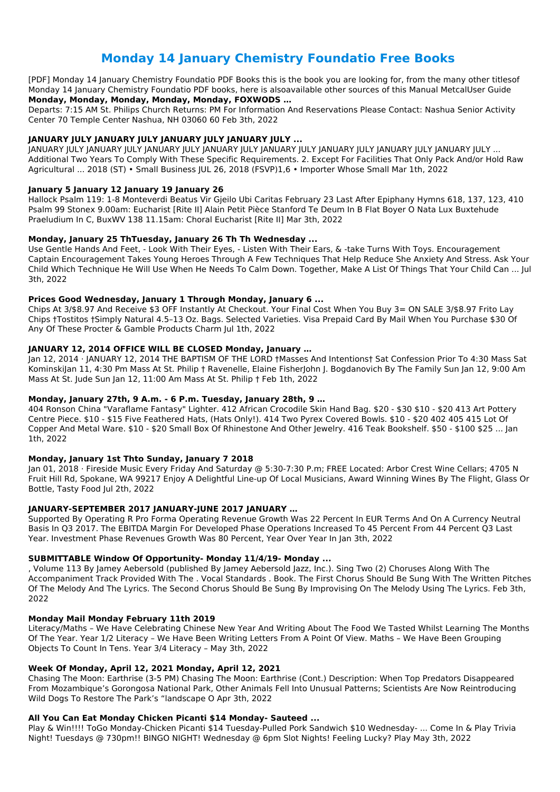# **Monday 14 January Chemistry Foundatio Free Books**

[PDF] Monday 14 January Chemistry Foundatio PDF Books this is the book you are looking for, from the many other titlesof Monday 14 January Chemistry Foundatio PDF books, here is alsoavailable other sources of this Manual MetcalUser Guide **Monday, Monday, Monday, Monday, Monday, FOXWODS …**

Departs: 7:15 AM St. Philips Church Returns: PM For Information And Reservations Please Contact: Nashua Senior Activity Center 70 Temple Center Nashua, NH 03060 60 Feb 3th, 2022

# **JANUARY JULY JANUARY JULY JANUARY JULY JANUARY JULY ...**

JANUARY JULY JANUARY JULY JANUARY JULY JANUARY JULY JANUARY JULY JANUARY JULY JANUARY JULY JANUARY JULY ... Additional Two Years To Comply With These Specific Requirements. 2. Except For Facilities That Only Pack And/or Hold Raw Agricultural ... 2018 (ST) • Small Business JUL 26, 2018 (FSVP)1,6 • Importer Whose Small Mar 1th, 2022

### **January 5 January 12 January 19 January 26**

Hallock Psalm 119: 1-8 Monteverdi Beatus Vir Gjeilo Ubi Caritas February 23 Last After Epiphany Hymns 618, 137, 123, 410 Psalm 99 Stonex 9.00am: Eucharist [Rite II] Alain Petit Pièce Stanford Te Deum In B Flat Boyer O Nata Lux Buxtehude Praeludium In C, BuxWV 138 11.15am: Choral Eucharist [Rite II] Mar 3th, 2022

### **Monday, January 25 ThTuesday, January 26 Th Th Wednesday ...**

Use Gentle Hands And Feet, - Look With Their Eyes, - Listen With Their Ears, & -take Turns With Toys. Encouragement Captain Encouragement Takes Young Heroes Through A Few Techniques That Help Reduce She Anxiety And Stress. Ask Your Child Which Technique He Will Use When He Needs To Calm Down. Together, Make A List Of Things That Your Child Can ... Jul 3th, 2022

Jan 01, 2018 · Fireside Music Every Friday And Saturday @ 5:30-7:30 P.m; FREE Located: Arbor Crest Wine Cellars; 4705 N Fruit Hill Rd, Spokane, WA 99217 Enjoy A Delightful Line-up Of Local Musicians, Award Winning Wines By The Flight, Glass Or Bottle, Tasty Food Jul 2th, 2022

#### **Prices Good Wednesday, January 1 Through Monday, January 6 ...**

Chips At 3/\$8.97 And Receive \$3 OFF Instantly At Checkout. Your Final Cost When You Buy 3= ON SALE 3/\$8.97 Frito Lay Chips †Tostitos †Simply Natural 4.5–13 Oz. Bags. Selected Varieties. Visa Prepaid Card By Mail When You Purchase \$30 Of Any Of These Procter & Gamble Products Charm Jul 1th, 2022

### **JANUARY 12, 2014 OFFICE WILL BE CLOSED Monday, January …**

Jan 12, 2014 · JANUARY 12, 2014 THE BAPTISM OF THE LORD †Masses And Intentions† Sat Confession Prior To 4:30 Mass Sat KominskiJan 11, 4:30 Pm Mass At St. Philip † Ravenelle, Elaine FisherJohn J. Bogdanovich By The Family Sun Jan 12, 9:00 Am Mass At St. Jude Sun Jan 12, 11:00 Am Mass At St. Philip † Feb 1th, 2022

### **Monday, January 27th, 9 A.m. - 6 P.m. Tuesday, January 28th, 9 …**

404 Ronson China "Varaflame Fantasy" Lighter. 412 African Crocodile Skin Hand Bag. \$20 - \$30 \$10 - \$20 413 Art Pottery Centre Piece. \$10 - \$15 Five Feathered Hats, (Hats Only!). 414 Two Pyrex Covered Bowls. \$10 - \$20 402 405 415 Lot Of Copper And Metal Ware. \$10 - \$20 Small Box Of Rhinestone And Other Jewelry. 416 Teak Bookshelf. \$50 - \$100 \$25 ... Jan 1th, 2022

### **Monday, January 1st Thto Sunday, January 7 2018**

### **JANUARY-SEPTEMBER 2017 JANUARY-JUNE 2017 JANUARY …**

Supported By Operating R Pro Forma Operating Revenue Growth Was 22 Percent In EUR Terms And On A Currency Neutral Basis In Q3 2017. The EBITDA Margin For Developed Phase Operations Increased To 45 Percent From 44 Percent Q3 Last Year. Investment Phase Revenues Growth Was 80 Percent, Year Over Year In Jan 3th, 2022

#### **SUBMITTABLE Window Of Opportunity- Monday 11/4/19- Monday ...**

, Volume 113 By Jamey Aebersold (published By Jamey Aebersold Jazz, Inc.). Sing Two (2) Choruses Along With The Accompaniment Track Provided With The . Vocal Standards . Book. The First Chorus Should Be Sung With The Written Pitches Of The Melody And The Lyrics. The Second Chorus Should Be Sung By Improvising On The Melody Using The Lyrics. Feb 3th, 2022

#### **Monday Mail Monday February 11th 2019**

Literacy/Maths – We Have Celebrating Chinese New Year And Writing About The Food We Tasted Whilst Learning The Months Of The Year. Year 1/2 Literacy – We Have Been Writing Letters From A Point Of View. Maths – We Have Been Grouping Objects To Count In Tens. Year 3/4 Literacy – May 3th, 2022

#### **Week Of Monday, April 12, 2021 Monday, April 12, 2021**

Chasing The Moon: Earthrise (3-5 PM) Chasing The Moon: Earthrise (Cont.) Description: When Top Predators Disappeared From Mozambique's Gorongosa National Park, Other Animals Fell Into Unusual Patterns; Scientists Are Now Reintroducing Wild Dogs To Restore The Park's "landscape O Apr 3th, 2022

#### **All You Can Eat Monday Chicken Picanti \$14 Monday- Sauteed ...**

Play & Win!!!! ToGo Monday-Chicken Picanti \$14 Tuesday-Pulled Pork Sandwich \$10 Wednesday- ... Come In & Play Trivia Night! Tuesdays @ 730pm!! BINGO NIGHT! Wednesday @ 6pm Slot Nights! Feeling Lucky? Play May 3th, 2022